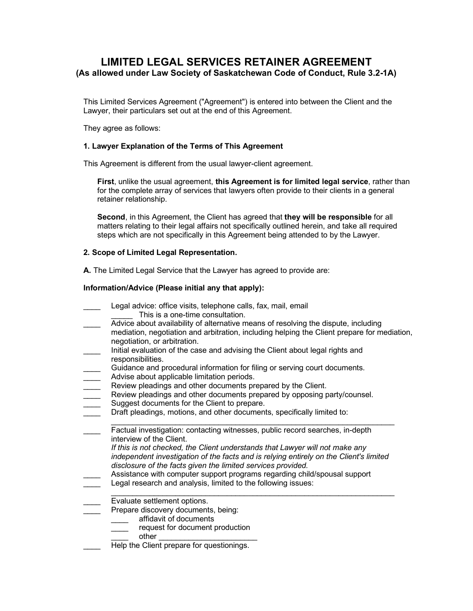# **LIMITED LEGAL SERVICES RETAINER AGREEMENT (As allowed under Law Society of Saskatchewan Code of Conduct, Rule 3.2-1A)**

This Limited Services Agreement ("Agreement") is entered into between the Client and the Lawyer, their particulars set out at the end of this Agreement.

They agree as follows:

#### **1. Lawyer Explanation of the Terms of This Agreement**

This Agreement is different from the usual lawyer-client agreement.

**First**, unlike the usual agreement, **this Agreement is for limited legal service**, rather than for the complete array of services that lawyers often provide to their clients in a general retainer relationship.

**Second**, in this Agreement, the Client has agreed that **they will be responsible** for all matters relating to their legal affairs not specifically outlined herein, and take all required steps which are not specifically in this Agreement being attended to by the Lawyer.

#### **2. Scope of Limited Legal Representation.**

**A.** The Limited Legal Service that the Lawyer has agreed to provide are:

#### **Information/Advice (Please initial any that apply):**

- Legal advice: office visits, telephone calls, fax, mail, email This is a one-time consultation.
- \_\_\_\_ Advice about availability of alternative means of resolving the dispute, including mediation, negotiation and arbitration, including helping the Client prepare for mediation, negotiation, or arbitration.
- Initial evaluation of the case and advising the Client about legal rights and responsibilities.
- Guidance and procedural information for filing or serving court documents.
- **EXEC** Advise about applicable limitation periods.
- Review pleadings and other documents prepared by the Client.
- Review pleadings and other documents prepared by opposing party/counsel.
- Suggest documents for the Client to prepare.
- Draft pleadings, motions, and other documents, specifically limited to:
- \_\_\_\_\_\_\_\_\_\_\_\_\_\_\_\_\_\_\_\_\_\_\_\_\_\_\_\_\_\_\_\_\_\_\_\_\_\_\_\_\_\_\_\_\_\_\_\_\_\_\_\_\_\_\_\_\_\_\_\_\_\_\_\_\_\_ Factual investigation: contacting witnesses, public record searches, in-depth interview of the Client.
	- *If this is not checked, the Client understands that Lawyer will not make any independent investigation of the facts and is relying entirely on the Client's limited disclosure of the facts given the limited services provided.*
- \_\_\_\_ Assistance with computer support programs regarding child/spousal support Legal research and analysis, limited to the following issues:
- \_\_\_\_\_\_\_\_\_\_\_\_\_\_\_\_\_\_\_\_\_\_\_\_\_\_\_\_\_\_\_\_\_\_\_\_\_\_\_\_\_\_\_\_\_\_\_\_\_\_\_\_\_\_\_\_\_\_\_\_\_\_\_\_\_\_ Evaluate settlement options.
	- Prepare discovery documents, being:
		- affidavit of documents
		- request for document production
			- other
	- Help the Client prepare for questionings.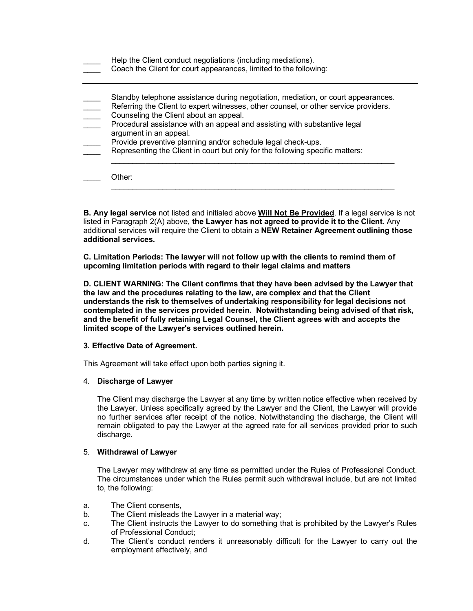| Standby telephone assistance during negotiation, mediation, or court appearances.    |
|--------------------------------------------------------------------------------------|
| Referring the Client to expert witnesses, other counsel, or other service providers. |
| Counseling the Client about an appeal.                                               |
| Procedural assistance with an appeal and assisting with substantive legal            |
| argument in an appeal.                                                               |
| Provide preventive planning and/or schedule legal check-ups.                         |
| Representing the Client in court but only for the following specific matters:        |

**B. Any legal service** not listed and initialed above **Will Not Be Provided**. If a legal service is not listed in Paragraph 2(A) above, **the Lawyer has not agreed to provide it to the Client**. Any additional services will require the Client to obtain a **NEW Retainer Agreement outlining those additional services.** 

**C. Limitation Periods: The lawyer will not follow up with the clients to remind them of upcoming limitation periods with regard to their legal claims and matters**

**D. CLIENT WARNING: The Client confirms that they have been advised by the Lawyer that the law and the procedures relating to the law, are complex and that the Client understands the risk to themselves of undertaking responsibility for legal decisions not contemplated in the services provided herein. Notwithstanding being advised of that risk, and the benefit of fully retaining Legal Counsel, the Client agrees with and accepts the limited scope of the Lawyer's services outlined herein.**

#### **3. Effective Date of Agreement.**

This Agreement will take effect upon both parties signing it.

#### 4. **Discharge of Lawyer**

The Client may discharge the Lawyer at any time by written notice effective when received by the Lawyer. Unless specifically agreed by the Lawyer and the Client, the Lawyer will provide no further services after receipt of the notice. Notwithstanding the discharge, the Client will remain obligated to pay the Lawyer at the agreed rate for all services provided prior to such discharge.

#### 5. **Withdrawal of Lawyer**

The Lawyer may withdraw at any time as permitted under the Rules of Professional Conduct. The circumstances under which the Rules permit such withdrawal include, but are not limited to, the following:

- a. The Client consents,
- b. The Client misleads the Lawyer in a material way;
- c. The Client instructs the Lawyer to do something that is prohibited by the Lawyer's Rules of Professional Conduct;
- d. The Client's conduct renders it unreasonably difficult for the Lawyer to carry out the employment effectively, and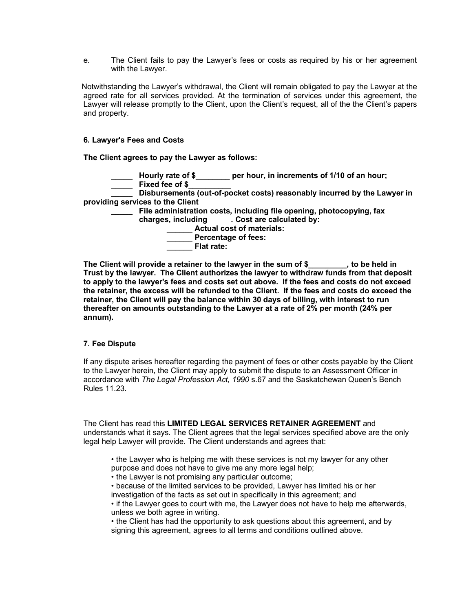e. The Client fails to pay the Lawyer's fees or costs as required by his or her agreement with the Lawyer.

 Notwithstanding the Lawyer's withdrawal, the Client will remain obligated to pay the Lawyer at the agreed rate for all services provided. At the termination of services under this agreement, the Lawyer will release promptly to the Client, upon the Client's request, all of the the Client's papers and property.

### **6. Lawyer's Fees and Costs**

**The Client agrees to pay the Lawyer as follows:**

- **\_\_\_\_\_ Hourly rate of \$\_\_\_\_\_\_\_\_ per hour, in increments of 1/10 of an hour;**
- **\_\_\_\_\_ Fixed fee of \$\_\_\_\_\_\_\_\_\_\_**

**\_\_\_\_\_ Disbursements (out-of-pocket costs) reasonably incurred by the Lawyer in providing services to the Client**

- **\_\_\_\_\_ File administration costs, including file opening, photocopying, fax charges, including . Cost are calculated by:**
	- **\_\_\_\_\_\_ Actual cost of materials:**
	- **\_\_\_\_\_\_ Percentage of fees:**
	- **\_\_\_\_\_\_ Flat rate:**

The Client will provide a retainer to the lawyer in the sum of \$  $\qquad \qquad$ , to be held in **Trust by the lawyer. The Client authorizes the lawyer to withdraw funds from that deposit to apply to the lawyer's fees and costs set out above. If the fees and costs do not exceed the retainer, the excess will be refunded to the Client. If the fees and costs do exceed the retainer, the Client will pay the balance within 30 days of billing, with interest to run thereafter on amounts outstanding to the Lawyer at a rate of 2% per month (24% per annum).**

#### **7. Fee Dispute**

If any dispute arises hereafter regarding the payment of fees or other costs payable by the Client to the Lawyer herein, the Client may apply to submit the dispute to an Assessment Officer in accordance with *The Legal Profession Act, 1990* s.67 and the Saskatchewan Queen's Bench Rules 11.23.

The Client has read this **LIMITED LEGAL SERVICES RETAINER AGREEMENT** and understands what it says. The Client agrees that the legal services specified above are the only legal help Lawyer will provide. The Client understands and agrees that:

- the Lawyer who is helping me with these services is not my lawyer for any other
- purpose and does not have to give me any more legal help;
- the Lawyer is not promising any particular outcome;
- because of the limited services to be provided, Lawyer has limited his or her
- investigation of the facts as set out in specifically in this agreement; and
- if the Lawyer goes to court with me, the Lawyer does not have to help me afterwards, unless we both agree in writing.
- the Client has had the opportunity to ask questions about this agreement, and by signing this agreement, agrees to all terms and conditions outlined above.